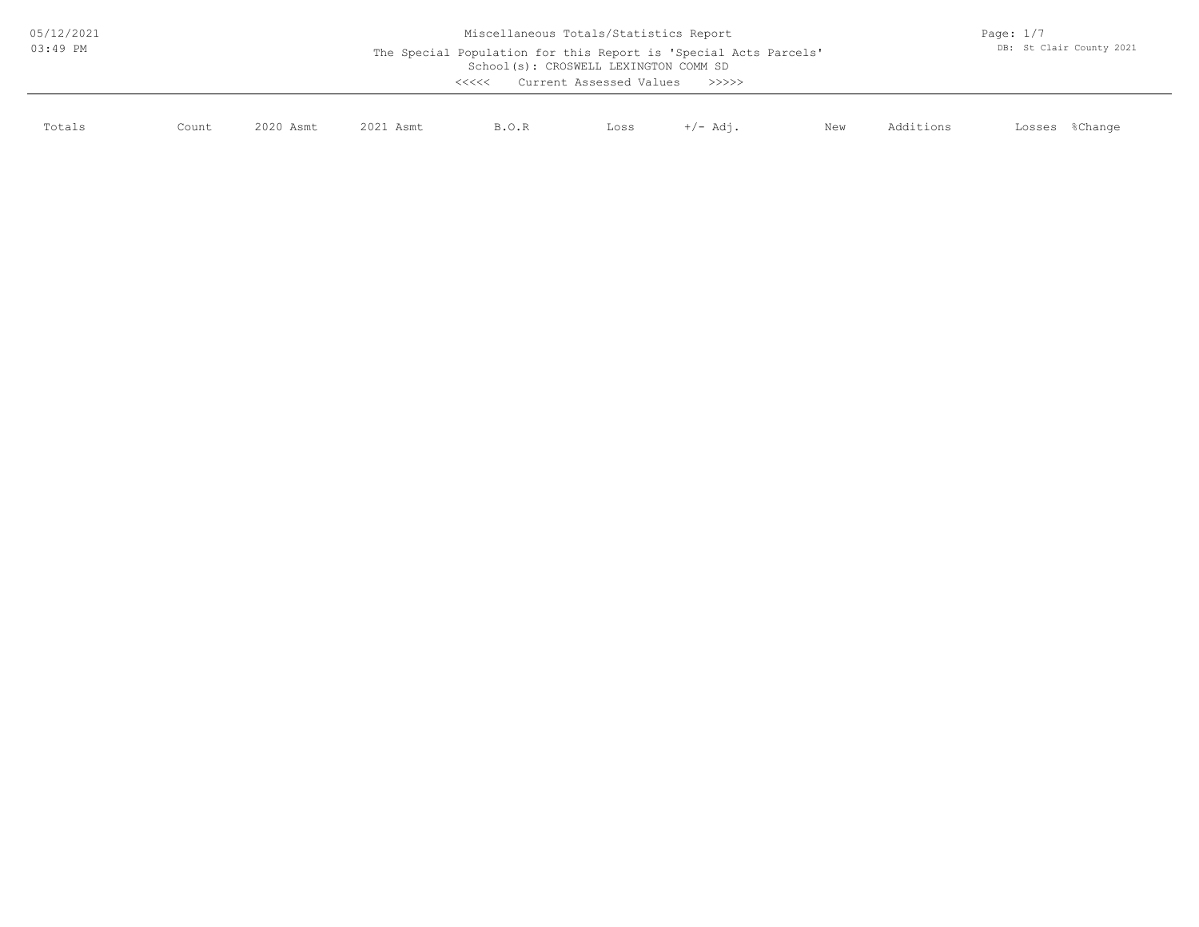| 05/12/2021<br>$03:49$ PM |       |           | Page: $1/7$<br>DB: St Clair County 2021 |       |      |          |     |           |                   |
|--------------------------|-------|-----------|-----------------------------------------|-------|------|----------|-----|-----------|-------------------|
| Totals                   | Count | 2020 Asmt | 2021 Asmt                               | B.O.R | Loss | +/- Adi. | New | Additions | %Change<br>Losses |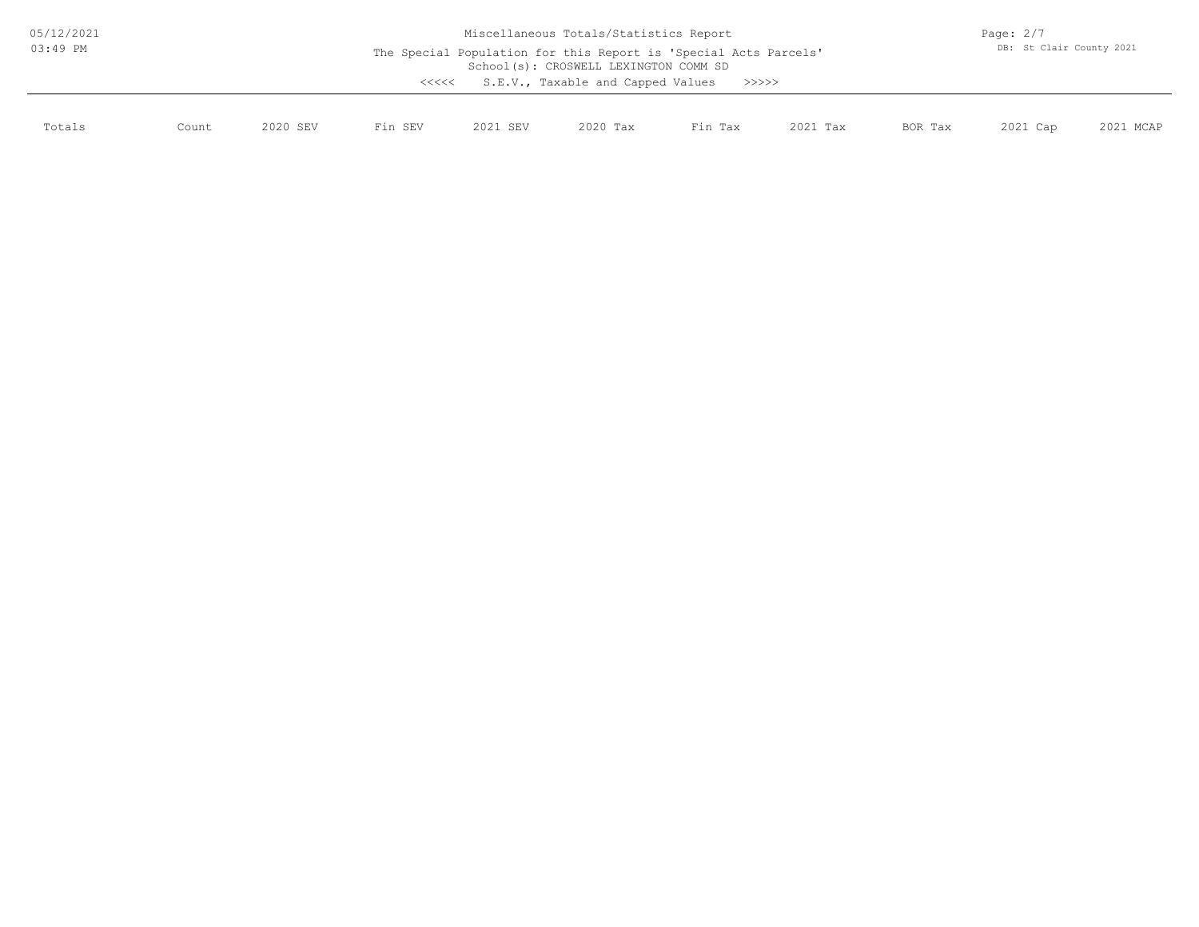| 05/12/2021 |       | Miscellaneous Totals/Statistics Report |         |                                                                                                                                                                                     |          |         |          |         |          | Page: $2/7$ |  |  |
|------------|-------|----------------------------------------|---------|-------------------------------------------------------------------------------------------------------------------------------------------------------------------------------------|----------|---------|----------|---------|----------|-------------|--|--|
| $03:49$ PM |       |                                        | <<<<    | DB: St Clair County 2021<br>The Special Population for this Report is 'Special Acts Parcels'<br>School(s): CROSWELL LEXINGTON COMM SD<br>S.E.V., Taxable and Capped Values<br>>>>>> |          |         |          |         |          |             |  |  |
| Totals     | Count | 2020 SEV                               | Fin SEV | 2021 SEV                                                                                                                                                                            | 2020 Tax | Fin Tax | 2021 Tax | BOR Tax | 2021 Cap | 2021 MCAP   |  |  |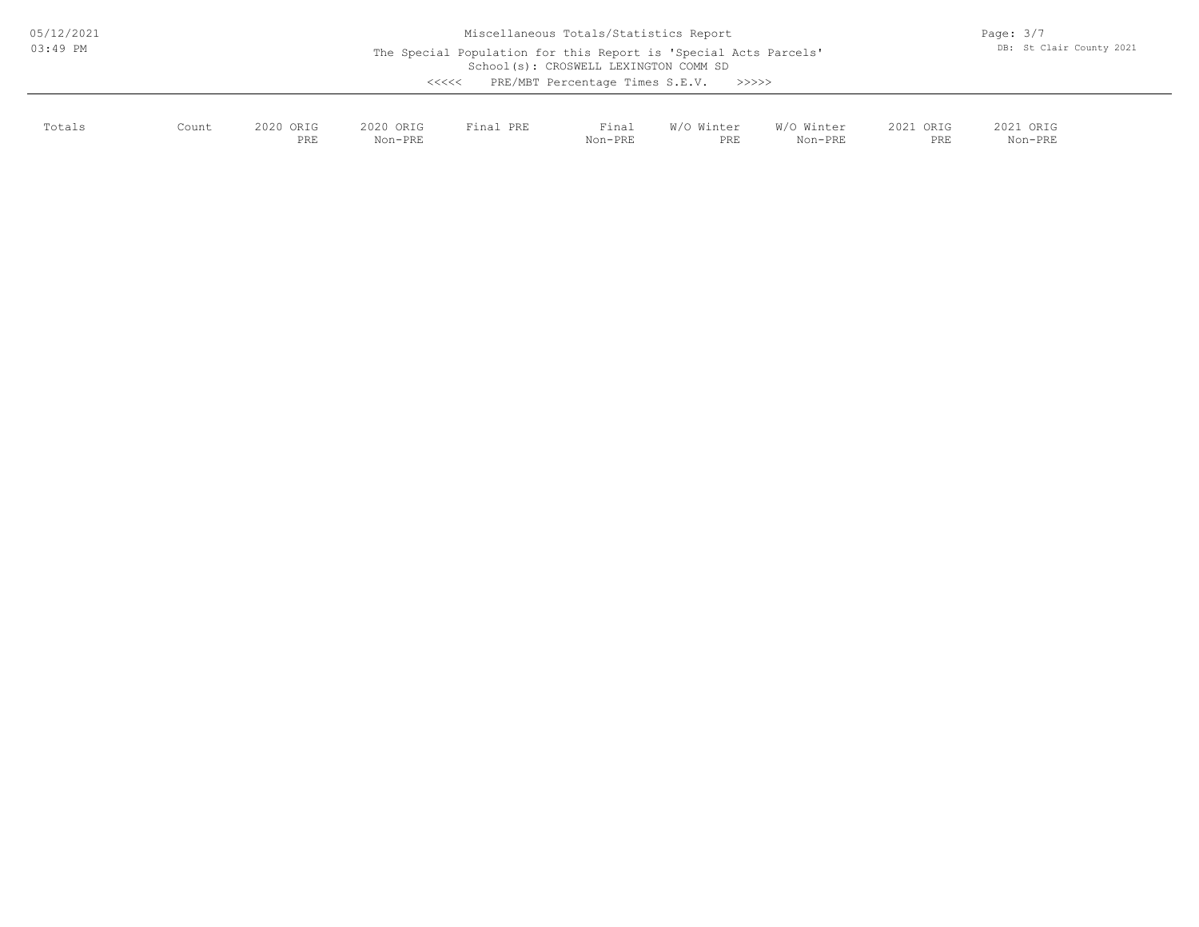| 05/12/2021  |  |
|-------------|--|
| $0.3:49$ PM |  |

School(s): CROSWELL LEXINGTON COMM SD Miscellaneous Totals/Statistics Report The Special Population for this Report is 'Special Acts Parcels' <<<<< PRE/MBT Percentage Times S.E.V. >>>>>

| Totals | Count | 2020 ORIG<br>PRE | 2020 ORIG<br>Non-PRE | Final PRE | Final<br>Non-PRE | W/O Winter<br>PRE | W/O Winter<br>Non-PRE | 2021 ORIG<br>PRE | 2021 ORIG<br>Non-PRE |
|--------|-------|------------------|----------------------|-----------|------------------|-------------------|-----------------------|------------------|----------------------|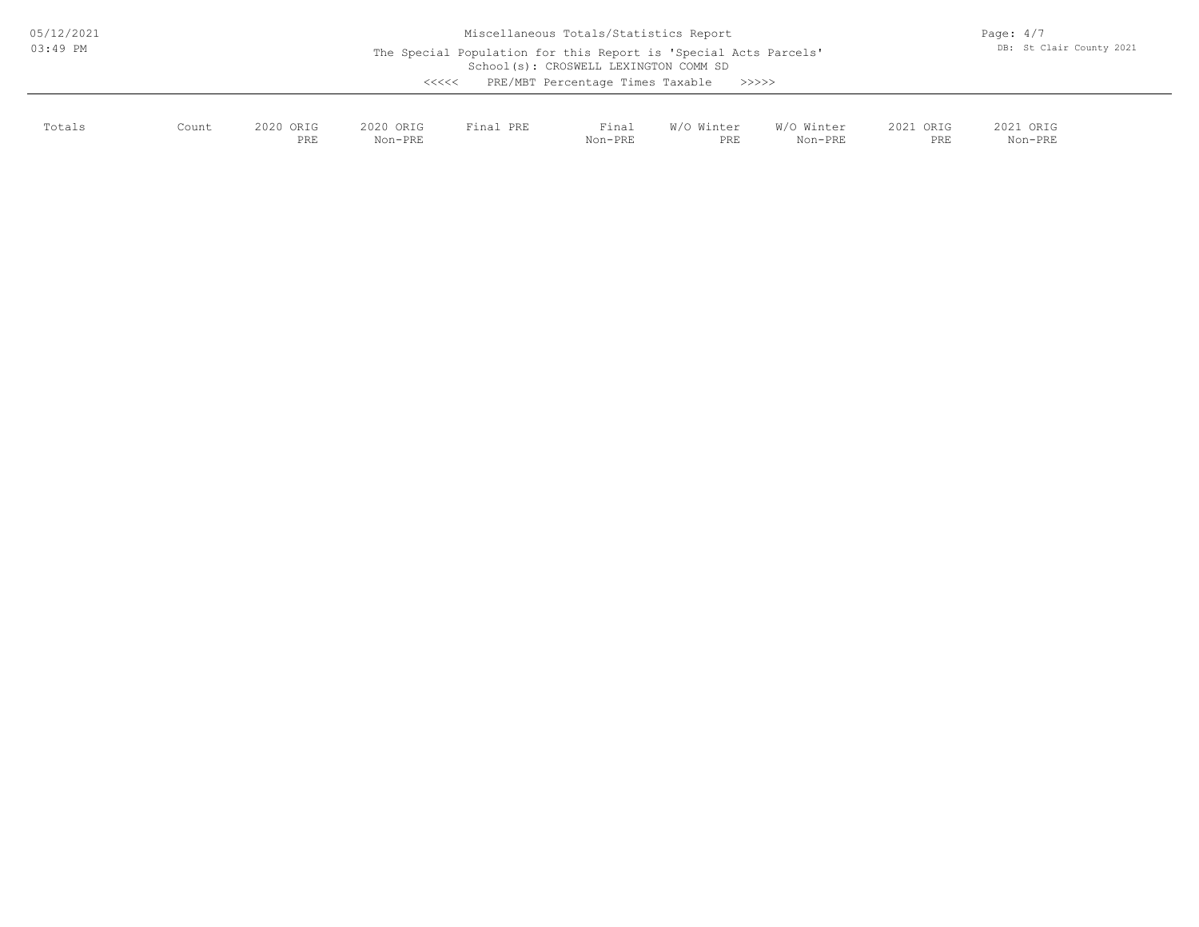| 05/12/2021 |  |
|------------|--|
| $03:49$ PM |  |

School(s): CROSWELL LEXINGTON COMM SD Miscellaneous Totals/Statistics Report The Special Population for this Report is 'Special Acts Parcels' <<<<< PRE/MBT Percentage Times Taxable >>>>>

| Totals<br>. | Count | 2020 ORIG<br>PRE | 2020 ORIG<br>Non-PRE | Final PRE | Final<br>the contract of the contract of the contract of<br>Non-PRE | W/O Winter<br>PRE | W/O Winter<br>Non-PRE | 2021 ORIG<br>PRE | 2021 ORIG<br>Non-PRE |
|-------------|-------|------------------|----------------------|-----------|---------------------------------------------------------------------|-------------------|-----------------------|------------------|----------------------|
|             |       |                  |                      |           |                                                                     |                   |                       |                  |                      |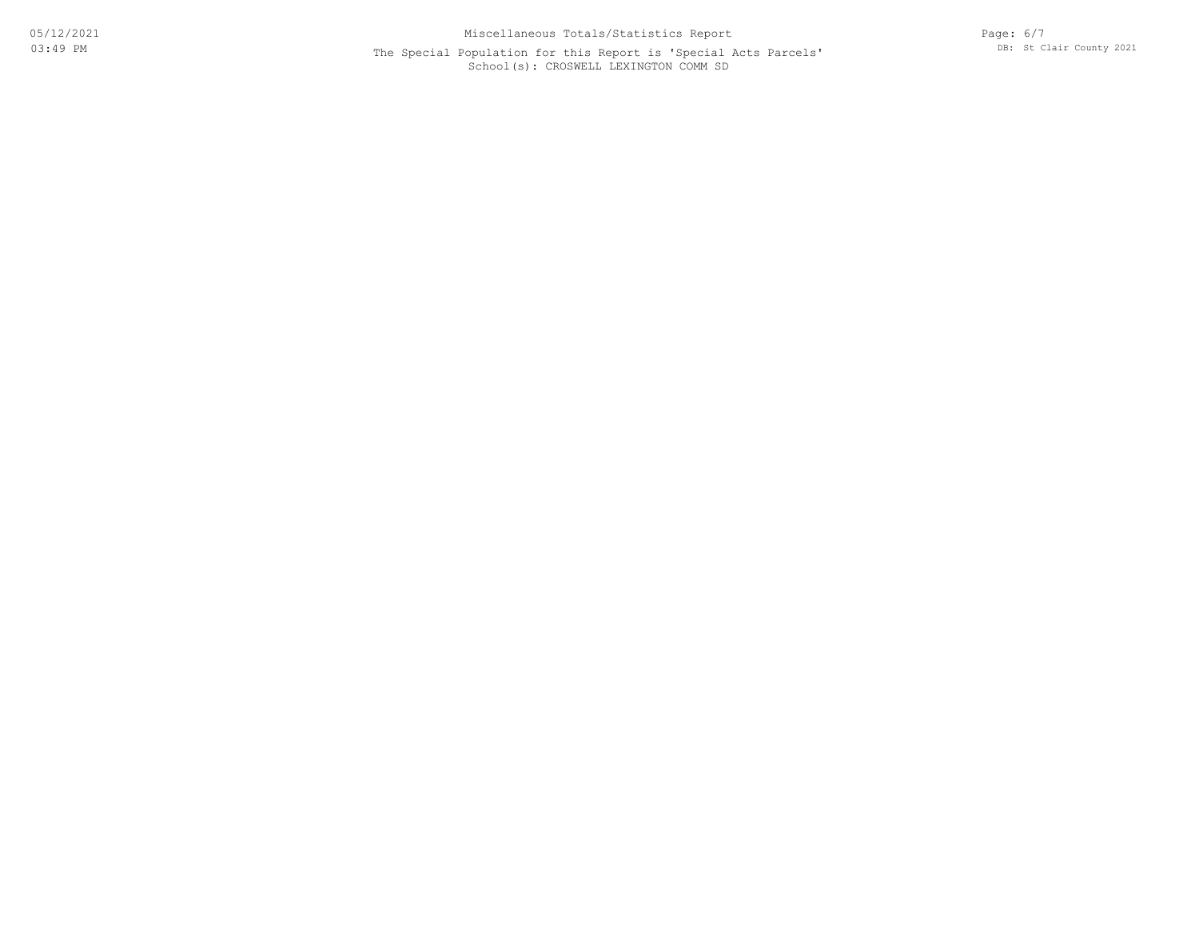## School(s): CROSWELL LEXINGTON COMM SD The Special Population for this Report is 'Special Acts Parcels'